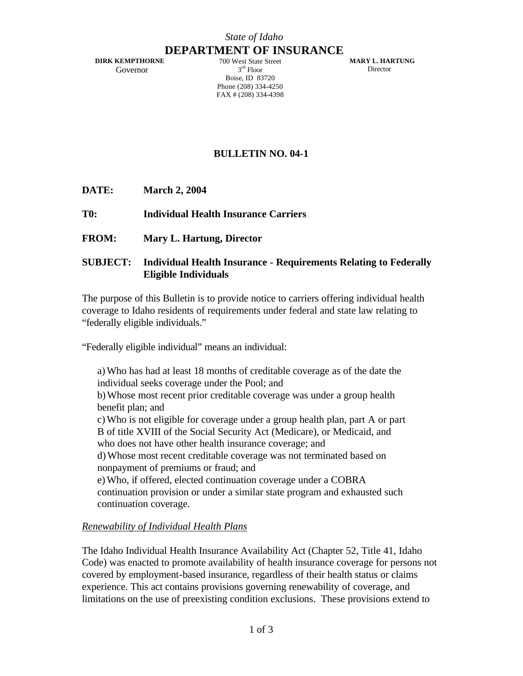#### *State of Idaho*

# **DEPARTMENT OF INSURANCE**

 **DIRK KEMPTHORNE** Governor

700 West State Street 3 rd Floor Boise, ID 83720 Phone (208) 334-4250 FAX # (208) 334-4398

**MARY L. HARTUNG Director** 

## **BULLETIN NO. 04-1**

- **DATE: March 2, 2004**
- **T0: Individual Health Insurance Carriers**
- **FROM: Mary L. Hartung, Director**

#### **SUBJECT: Individual Health Insurance - Requirements Relating to Federally Eligible Individuals**

The purpose of this Bulletin is to provide notice to carriers offering individual health coverage to Idaho residents of requirements under federal and state law relating to "federally eligible individuals."

"Federally eligible individual" means an individual:

a)Who has had at least 18 months of creditable coverage as of the date the individual seeks coverage under the Pool; and b)Whose most recent prior creditable coverage was under a group health benefit plan; and c)Who is not eligible for coverage under a group health plan, part A or part B of title XVIII of the Social Security Act (Medicare), or Medicaid, and

who does not have other health insurance coverage; and

d)Whose most recent creditable coverage was not terminated based on nonpayment of premiums or fraud; and

e)Who, if offered, elected continuation coverage under a COBRA continuation provision or under a similar state program and exhausted such continuation coverage.

#### *Renewability of Individual Health Plans*

The Idaho Individual Health Insurance Availability Act (Chapter 52, Title 41, Idaho Code) was enacted to promote availability of health insurance coverage for persons not covered by employment-based insurance, regardless of their health status or claims experience. This act contains provisions governing renewability of coverage, and limitations on the use of preexisting condition exclusions. These provisions extend to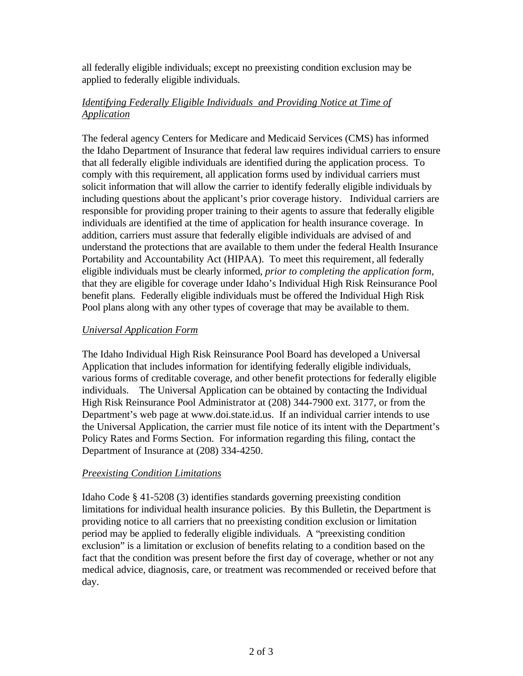all federally eligible individuals; except no preexisting condition exclusion may be applied to federally eligible individuals.

### *Identifying Federally Eligible Individuals and Providing Notice at Time of Application*

The federal agency Centers for Medicare and Medicaid Services (CMS) has informed the Idaho Department of Insurance that federal law requires individual carriers to ensure that all federally eligible individuals are identified during the application process. To comply with this requirement, all application forms used by individual carriers must solicit information that will allow the carrier to identify federally eligible individuals by including questions about the applicant's prior coverage history. Individual carriers are responsible for providing proper training to their agents to assure that federally eligible individuals are identified at the time of application for health insurance coverage. In addition, carriers must assure that federally eligible individuals are advised of and understand the protections that are available to them under the federal Health Insurance Portability and Accountability Act (HIPAA). To meet this requirement, all federally eligible individuals must be clearly informed, *prior to completing the application form,* that they are eligible for coverage under Idaho's Individual High Risk Reinsurance Pool benefit plans*.* Federally eligible individuals must be offered the Individual High Risk Pool plans along with any other types of coverage that may be available to them.

#### *Universal Application Form*

The Idaho Individual High Risk Reinsurance Pool Board has developed a Universal Application that includes information for identifying federally eligible individuals, various forms of creditable coverage, and other benefit protections for federally eligible individuals. The Universal Application can be obtained by contacting the Individual High Risk Reinsurance Pool Administrator at (208) 344-7900 ext. 3177, or from the Department's web page at www.doi.state.id.us. If an individual carrier intends to use the Universal Application, the carrier must file notice of its intent with the Department's Policy Rates and Forms Section. For information regarding this filing, contact the Department of Insurance at (208) 334-4250.

#### *Preexisting Condition Limitations*

Idaho Code § 41-5208 (3) identifies standards governing preexisting condition limitations for individual health insurance policies. By this Bulletin, the Department is providing notice to all carriers that no preexisting condition exclusion or limitation period may be applied to federally eligible individuals. A "preexisting condition exclusion" is a limitation or exclusion of benefits relating to a condition based on the fact that the condition was present before the first day of coverage, whether or not any medical advice, diagnosis, care, or treatment was recommended or received before that day.